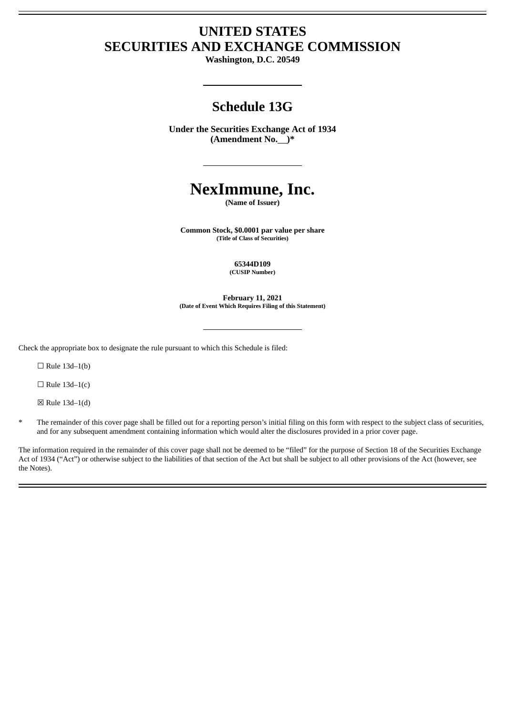## **UNITED STATES SECURITIES AND EXCHANGE COMMISSION**

**Washington, D.C. 20549**

## **Schedule 13G**

**Under the Securities Exchange Act of 1934 (Amendment No. )\***

# **NexImmune, Inc.**

**(Name of Issuer)**

**Common Stock, \$0.0001 par value per share (Title of Class of Securities)**

> **65344D109 (CUSIP Number)**

**February 11, 2021 (Date of Event Which Requires Filing of this Statement)**

Check the appropriate box to designate the rule pursuant to which this Schedule is filed:

 $\Box$  Rule 13d-1(b)

 $\Box$  Rule 13d-1(c)

 $\boxtimes$  Rule 13d-1(d)

\* The remainder of this cover page shall be filled out for a reporting person's initial filing on this form with respect to the subject class of securities, and for any subsequent amendment containing information which would alter the disclosures provided in a prior cover page.

The information required in the remainder of this cover page shall not be deemed to be "filed" for the purpose of Section 18 of the Securities Exchange Act of 1934 ("Act") or otherwise subject to the liabilities of that section of the Act but shall be subject to all other provisions of the Act (however, see the Notes).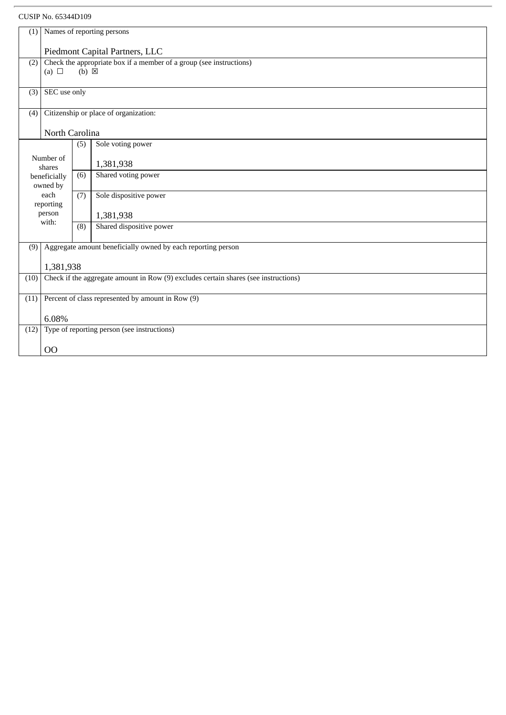### CUSIP No. 65344D109

| (1)                 | Names of reporting persons                                                          |                 |                                                              |  |  |  |  |
|---------------------|-------------------------------------------------------------------------------------|-----------------|--------------------------------------------------------------|--|--|--|--|
|                     |                                                                                     |                 |                                                              |  |  |  |  |
|                     | Piedmont Capital Partners, LLC                                                      |                 |                                                              |  |  |  |  |
|                     | Check the appropriate box if a member of a group (see instructions)<br>(2)          |                 |                                                              |  |  |  |  |
|                     | (a) $\Box$                                                                          | $(b) \boxtimes$ |                                                              |  |  |  |  |
|                     |                                                                                     |                 |                                                              |  |  |  |  |
| (3)                 | SEC use only                                                                        |                 |                                                              |  |  |  |  |
|                     |                                                                                     |                 |                                                              |  |  |  |  |
| (4)                 | Citizenship or place of organization:                                               |                 |                                                              |  |  |  |  |
|                     |                                                                                     |                 |                                                              |  |  |  |  |
|                     | North Carolina                                                                      |                 |                                                              |  |  |  |  |
|                     |                                                                                     | (5)             | Sole voting power                                            |  |  |  |  |
|                     |                                                                                     |                 |                                                              |  |  |  |  |
| Number of<br>shares |                                                                                     |                 | 1,381,938                                                    |  |  |  |  |
| beneficially        |                                                                                     | (6)             | Shared voting power                                          |  |  |  |  |
|                     | owned by                                                                            |                 |                                                              |  |  |  |  |
| each                |                                                                                     | (7)             | Sole dispositive power                                       |  |  |  |  |
| reporting           |                                                                                     |                 |                                                              |  |  |  |  |
| person              |                                                                                     |                 | 1,381,938                                                    |  |  |  |  |
| with:               |                                                                                     | (8)             | Shared dispositive power                                     |  |  |  |  |
|                     |                                                                                     |                 |                                                              |  |  |  |  |
| (9)                 |                                                                                     |                 | Aggregate amount beneficially owned by each reporting person |  |  |  |  |
|                     |                                                                                     |                 |                                                              |  |  |  |  |
|                     | 1,381,938                                                                           |                 |                                                              |  |  |  |  |
| (10)                | Check if the aggregate amount in Row (9) excludes certain shares (see instructions) |                 |                                                              |  |  |  |  |
|                     |                                                                                     |                 |                                                              |  |  |  |  |
| (11)                |                                                                                     |                 |                                                              |  |  |  |  |
|                     | Percent of class represented by amount in Row (9)                                   |                 |                                                              |  |  |  |  |
|                     | 6.08%                                                                               |                 |                                                              |  |  |  |  |
|                     |                                                                                     |                 |                                                              |  |  |  |  |
| (12)                | Type of reporting person (see instructions)                                         |                 |                                                              |  |  |  |  |
|                     | O <sub>O</sub>                                                                      |                 |                                                              |  |  |  |  |
|                     |                                                                                     |                 |                                                              |  |  |  |  |
|                     |                                                                                     |                 |                                                              |  |  |  |  |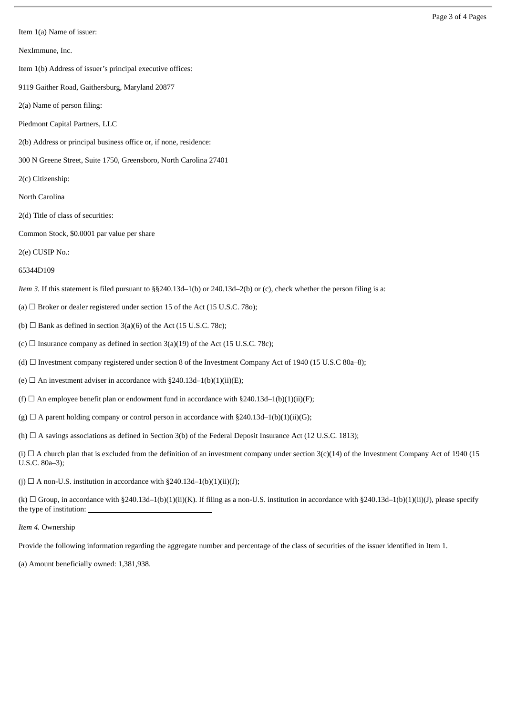Item 1(a) Name of issuer:

NexImmune, Inc.

Item 1(b) Address of issuer's principal executive offices:

9119 Gaither Road, Gaithersburg, Maryland 20877

2(a) Name of person filing:

Piedmont Capital Partners, LLC

2(b) Address or principal business office or, if none, residence:

300 N Greene Street, Suite 1750, Greensboro, North Carolina 27401

2(c) Citizenship:

North Carolina

2(d) Title of class of securities:

Common Stock, \$0.0001 par value per share

2(e) CUSIP No.:

65344D109

*Item 3.* If this statement is filed pursuant to §§240.13d–1(b) or 240.13d–2(b) or (c), check whether the person filing is a:

(a)  $\Box$  Broker or dealer registered under section 15 of the Act (15 U.S.C. 78o);

(b)  $\Box$  Bank as defined in section 3(a)(6) of the Act (15 U.S.C. 78c);

(c)  $\Box$  Insurance company as defined in section 3(a)(19) of the Act (15 U.S.C. 78c);

(d)  $\Box$  Investment company registered under section 8 of the Investment Company Act of 1940 (15 U.S.C 80a–8);

(e)  $\Box$  An investment adviser in accordance with §240.13d–1(b)(1)(ii)(E);

(f)  $\Box$  An employee benefit plan or endowment fund in accordance with §240.13d–1(b)(1)(ii)(F);

(g)  $\Box$  A parent holding company or control person in accordance with §240.13d–1(b)(1)(ii)(G);

(h)  $\Box$  A savings associations as defined in Section 3(b) of the Federal Deposit Insurance Act (12 U.S.C. 1813);

(i)  $\Box$  A church plan that is excluded from the definition of an investment company under section 3(c)(14) of the Investment Company Act of 1940 (15 U.S.C. 80a–3);

(i)  $\Box$  A non-U.S. institution in accordance with §240.13d–1(b)(1)(ii)(J);

(k)  $\Box$  Group, in accordance with §240.13d–1(b)(1)(ii)(K). If filing as a non-U.S. institution in accordance with §240.13d–1(b)(1)(ii)(J), please specify the type of institution:

*Item 4.* Ownership

Provide the following information regarding the aggregate number and percentage of the class of securities of the issuer identified in Item 1.

(a) Amount beneficially owned: 1,381,938.